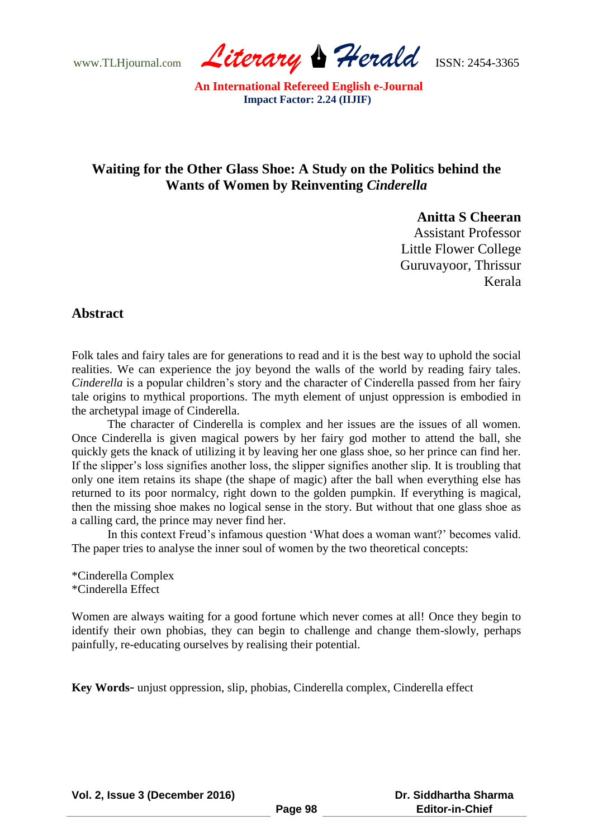www.TLHjournal.com *Literary Herald*ISSN: 2454-3365

# **Waiting for the Other Glass Shoe: A Study on the Politics behind the Wants of Women by Reinventing** *Cinderella*

**Anitta S Cheeran** 

Assistant Professor Little Flower College Guruvayoor, Thrissur Kerala

### **Abstract**

Folk tales and fairy tales are for generations to read and it is the best way to uphold the social realities. We can experience the joy beyond the walls of the world by reading fairy tales. *Cinderella* is a popular children's story and the character of Cinderella passed from her fairy tale origins to mythical proportions. The myth element of unjust oppression is embodied in the archetypal image of Cinderella.

The character of Cinderella is complex and her issues are the issues of all women. Once Cinderella is given magical powers by her fairy god mother to attend the ball, she quickly gets the knack of utilizing it by leaving her one glass shoe, so her prince can find her. If the slipper"s loss signifies another loss, the slipper signifies another slip. It is troubling that only one item retains its shape (the shape of magic) after the ball when everything else has returned to its poor normalcy, right down to the golden pumpkin. If everything is magical, then the missing shoe makes no logical sense in the story. But without that one glass shoe as a calling card, the prince may never find her.

In this context Freud's infamous question 'What does a woman want?' becomes valid. The paper tries to analyse the inner soul of women by the two theoretical concepts:

\*Cinderella Complex \*Cinderella Effect

Women are always waiting for a good fortune which never comes at all! Once they begin to identify their own phobias, they can begin to challenge and change them-slowly, perhaps painfully, re-educating ourselves by realising their potential.

**Key Words**- unjust oppression, slip, phobias, Cinderella complex, Cinderella effect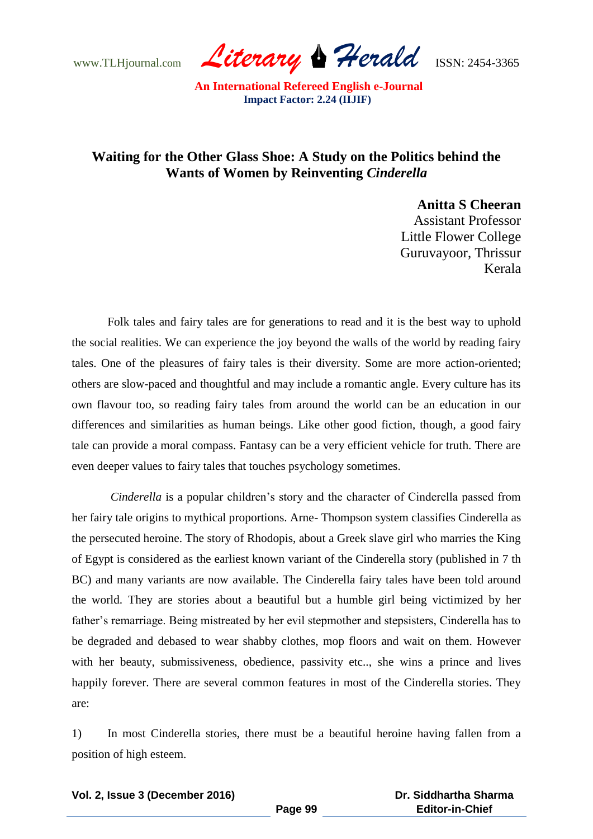www.TLHjournal.com *Literary Herald*ISSN: 2454-3365

## **Waiting for the Other Glass Shoe: A Study on the Politics behind the Wants of Women by Reinventing** *Cinderella*

**Anitta S Cheeran** 

 Assistant Professor Little Flower College Guruvayoor, Thrissur Kerala

Folk tales and fairy tales are for generations to read and it is the best way to uphold the social realities. We can experience the joy beyond the walls of the world by reading fairy tales. One of the pleasures of fairy tales is their diversity. Some are more action-oriented; others are slow-paced and thoughtful and may include a romantic angle. Every culture has its own flavour too, so reading fairy tales from around the world can be an education in our differences and similarities as human beings. Like other good fiction, though, a good fairy tale can provide a moral compass. Fantasy can be a very efficient vehicle for truth. There are even deeper values to fairy tales that touches psychology sometimes.

*Cinderella* is a popular children's story and the character of Cinderella passed from her fairy tale origins to mythical proportions. Arne- Thompson system classifies Cinderella as the persecuted heroine. The story of Rhodopis, about a Greek slave girl who marries the King of Egypt is considered as the earliest known variant of the Cinderella story (published in 7 th BC) and many variants are now available. The Cinderella fairy tales have been told around the world. They are stories about a beautiful but a humble girl being victimized by her father"s remarriage. Being mistreated by her evil stepmother and stepsisters, Cinderella has to be degraded and debased to wear shabby clothes, mop floors and wait on them. However with her beauty, submissiveness, obedience, passivity etc.., she wins a prince and lives happily forever. There are several common features in most of the Cinderella stories. They are:

1) In most Cinderella stories, there must be a beautiful heroine having fallen from a position of high esteem.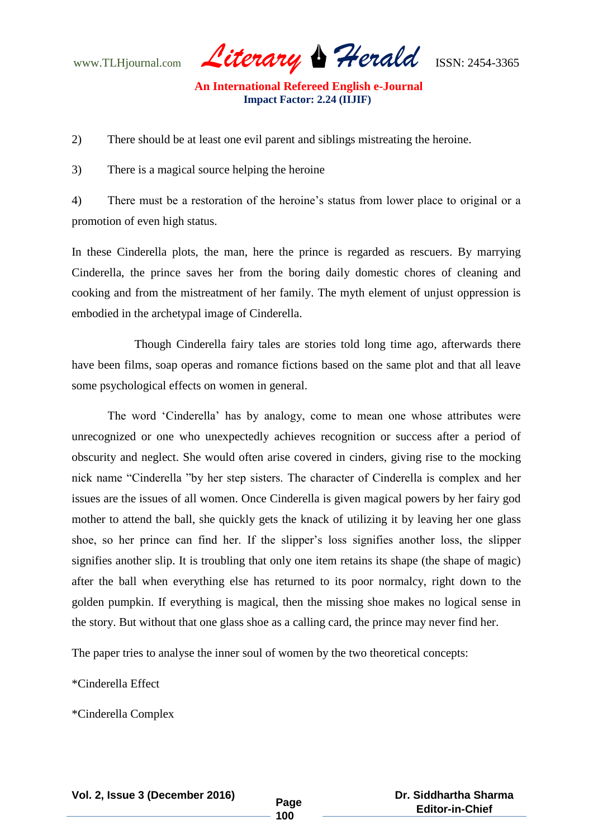www.TLHjournal.com *Literary Herald*ISSN: 2454-3365

2) There should be at least one evil parent and siblings mistreating the heroine.

3) There is a magical source helping the heroine

4) There must be a restoration of the heroine's status from lower place to original or a promotion of even high status.

In these Cinderella plots, the man, here the prince is regarded as rescuers. By marrying Cinderella, the prince saves her from the boring daily domestic chores of cleaning and cooking and from the mistreatment of her family. The myth element of unjust oppression is embodied in the archetypal image of Cinderella.

 Though Cinderella fairy tales are stories told long time ago, afterwards there have been films, soap operas and romance fictions based on the same plot and that all leave some psychological effects on women in general.

The word "Cinderella" has by analogy, come to mean one whose attributes were unrecognized or one who unexpectedly achieves recognition or success after a period of obscurity and neglect. She would often arise covered in cinders, giving rise to the mocking nick name "Cinderella "by her step sisters. The character of Cinderella is complex and her issues are the issues of all women. Once Cinderella is given magical powers by her fairy god mother to attend the ball, she quickly gets the knack of utilizing it by leaving her one glass shoe, so her prince can find her. If the slipper"s loss signifies another loss, the slipper signifies another slip. It is troubling that only one item retains its shape (the shape of magic) after the ball when everything else has returned to its poor normalcy, right down to the golden pumpkin. If everything is magical, then the missing shoe makes no logical sense in the story. But without that one glass shoe as a calling card, the prince may never find her.

The paper tries to analyse the inner soul of women by the two theoretical concepts:

\*Cinderella Effect

\*Cinderella Complex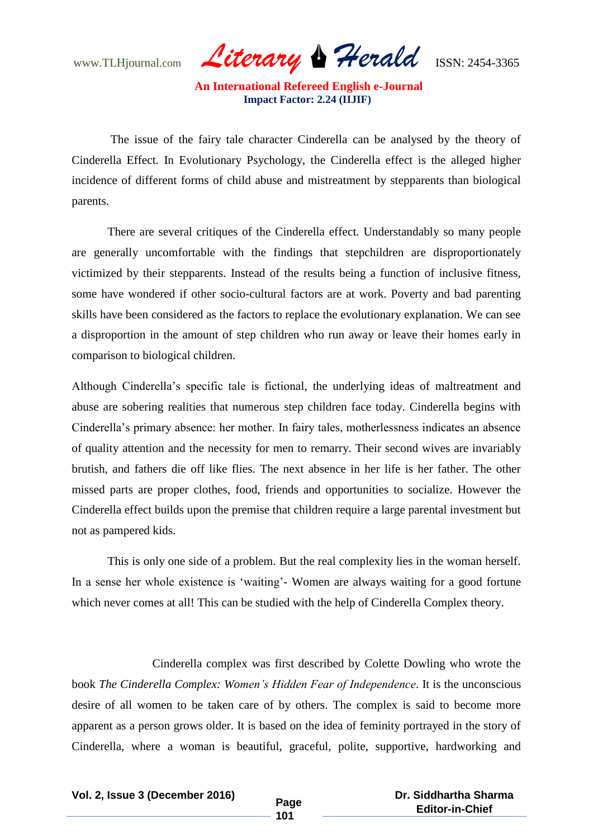www.TLHjournal.com *Literary Herald*ISSN: 2454-3365

The issue of the fairy tale character Cinderella can be analysed by the theory of Cinderella Effect. In Evolutionary Psychology, the Cinderella effect is the alleged higher incidence of different forms of child abuse and mistreatment by stepparents than biological parents.

There are several critiques of the Cinderella effect. Understandably so many people are generally uncomfortable with the findings that stepchildren are disproportionately victimized by their stepparents. Instead of the results being a function of inclusive fitness, some have wondered if other socio-cultural factors are at work. Poverty and bad parenting skills have been considered as the factors to replace the evolutionary explanation. We can see a disproportion in the amount of step children who run away or leave their homes early in comparison to biological children.

Although Cinderella"s specific tale is fictional, the underlying ideas of maltreatment and abuse are sobering realities that numerous step children face today. Cinderella begins with Cinderella"s primary absence: her mother. In fairy tales, motherlessness indicates an absence of quality attention and the necessity for men to remarry. Their second wives are invariably brutish, and fathers die off like flies. The next absence in her life is her father. The other missed parts are proper clothes, food, friends and opportunities to socialize. However the Cinderella effect builds upon the premise that children require a large parental investment but not as pampered kids.

This is only one side of a problem. But the real complexity lies in the woman herself. In a sense her whole existence is "waiting"- Women are always waiting for a good fortune which never comes at all! This can be studied with the help of Cinderella Complex theory.

 Cinderella complex was first described by Colette Dowling who wrote the book *The Cinderella Complex: Women's Hidden Fear of Independence*. It is the unconscious desire of all women to be taken care of by others. The complex is said to become more apparent as a person grows older. It is based on the idea of feminity portrayed in the story of Cinderella, where a woman is beautiful, graceful, polite, supportive, hardworking and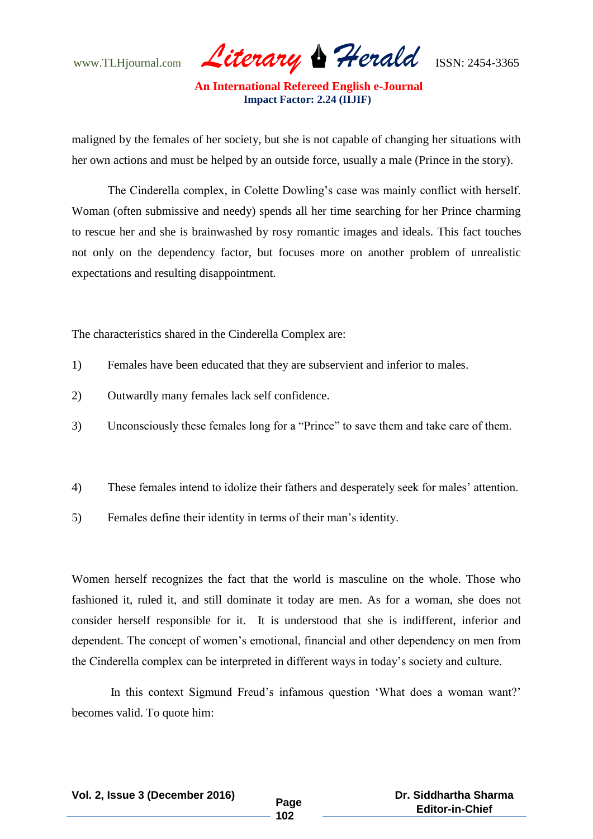www.TLHjournal.com *Literary Herald*ISSN: 2454-3365

maligned by the females of her society, but she is not capable of changing her situations with her own actions and must be helped by an outside force, usually a male (Prince in the story).

The Cinderella complex, in Colette Dowling"s case was mainly conflict with herself. Woman (often submissive and needy) spends all her time searching for her Prince charming to rescue her and she is brainwashed by rosy romantic images and ideals. This fact touches not only on the dependency factor, but focuses more on another problem of unrealistic expectations and resulting disappointment.

The characteristics shared in the Cinderella Complex are:

- 1) Females have been educated that they are subservient and inferior to males.
- 2) Outwardly many females lack self confidence.
- 3) Unconsciously these females long for a "Prince" to save them and take care of them.
- 4) These females intend to idolize their fathers and desperately seek for males" attention.
- 5) Females define their identity in terms of their man"s identity.

Women herself recognizes the fact that the world is masculine on the whole. Those who fashioned it, ruled it, and still dominate it today are men. As for a woman, she does not consider herself responsible for it. It is understood that she is indifferent, inferior and dependent. The concept of women"s emotional, financial and other dependency on men from the Cinderella complex can be interpreted in different ways in today"s society and culture.

In this context Sigmund Freud"s infamous question "What does a woman want?" becomes valid. To quote him: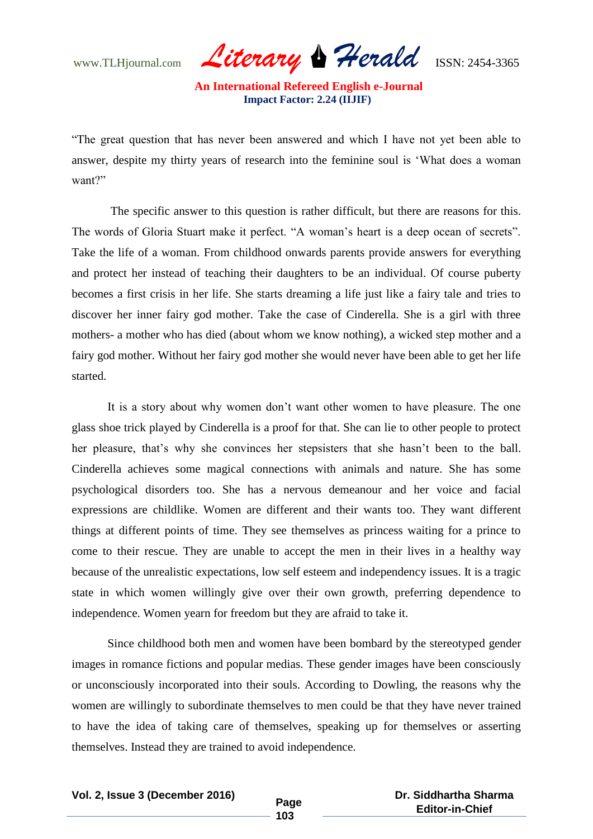www.TLHjournal.com *Literary Herald*ISSN: 2454-3365

"The great question that has never been answered and which I have not yet been able to answer, despite my thirty years of research into the feminine soul is "What does a woman want?"

The specific answer to this question is rather difficult, but there are reasons for this. The words of Gloria Stuart make it perfect. "A woman"s heart is a deep ocean of secrets". Take the life of a woman. From childhood onwards parents provide answers for everything and protect her instead of teaching their daughters to be an individual. Of course puberty becomes a first crisis in her life. She starts dreaming a life just like a fairy tale and tries to discover her inner fairy god mother. Take the case of Cinderella. She is a girl with three mothers- a mother who has died (about whom we know nothing), a wicked step mother and a fairy god mother. Without her fairy god mother she would never have been able to get her life started.

It is a story about why women don"t want other women to have pleasure. The one glass shoe trick played by Cinderella is a proof for that. She can lie to other people to protect her pleasure, that's why she convinces her stepsisters that she hasn't been to the ball. Cinderella achieves some magical connections with animals and nature. She has some psychological disorders too. She has a nervous demeanour and her voice and facial expressions are childlike. Women are different and their wants too. They want different things at different points of time. They see themselves as princess waiting for a prince to come to their rescue. They are unable to accept the men in their lives in a healthy way because of the unrealistic expectations, low self esteem and independency issues. It is a tragic state in which women willingly give over their own growth, preferring dependence to independence. Women yearn for freedom but they are afraid to take it.

Since childhood both men and women have been bombard by the stereotyped gender images in romance fictions and popular medias. These gender images have been consciously or unconsciously incorporated into their souls. According to Dowling, the reasons why the women are willingly to subordinate themselves to men could be that they have never trained to have the idea of taking care of themselves, speaking up for themselves or asserting themselves. Instead they are trained to avoid independence.